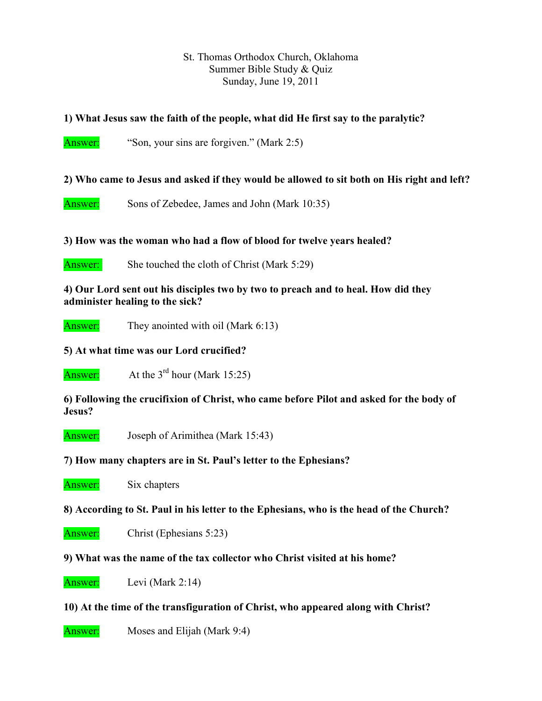#### St. Thomas Orthodox Church, Oklahoma Summer Bible Study & Quiz Sunday, June 19, 2011

## **1) What Jesus saw the faith of the people, what did He first say to the paralytic?**

Answer: "Son, your sins are forgiven." (Mark 2:5)

**2) Who came to Jesus and asked if they would be allowed to sit both on His right and left?** 

Answer: Sons of Zebedee, James and John (Mark 10:35)

**3) How was the woman who had a flow of blood for twelve years healed?** 

Answer: She touched the cloth of Christ (Mark 5:29)

**4) Our Lord sent out his disciples two by two to preach and to heal. How did they administer healing to the sick?** 

Answer: They anointed with oil (Mark 6:13)

### **5) At what time was our Lord crucified?**

Answer: At the  $3<sup>rd</sup>$  hour (Mark 15:25)

**6) Following the crucifixion of Christ, who came before Pilot and asked for the body of Jesus?** 

Answer: Joseph of Arimithea (Mark 15:43)

**7) How many chapters are in St. Paul's letter to the Ephesians?** 

Answer: Six chapters

**8) According to St. Paul in his letter to the Ephesians, who is the head of the Church?** 

Answer: Christ (Ephesians 5:23)

**9) What was the name of the tax collector who Christ visited at his home?** 

Answer: Levi (Mark 2:14)

#### **10) At the time of the transfiguration of Christ, who appeared along with Christ?**

Answer: Moses and Elijah (Mark 9:4)